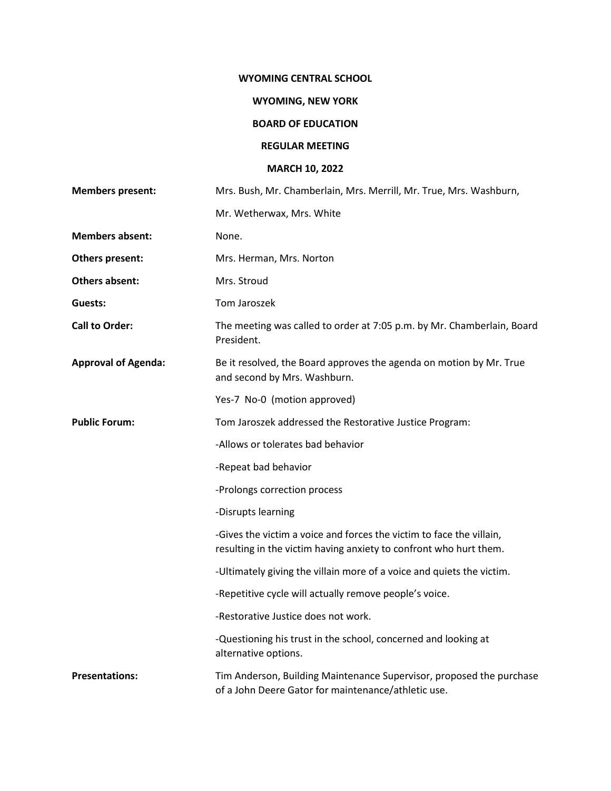#### **WYOMING CENTRAL SCHOOL**

## **WYOMING, NEW YORK**

# **BOARD OF EDUCATION**

#### **REGULAR MEETING**

## **MARCH 10, 2022**

| <b>Members present:</b>    | Mrs. Bush, Mr. Chamberlain, Mrs. Merrill, Mr. True, Mrs. Washburn,                                                                        |
|----------------------------|-------------------------------------------------------------------------------------------------------------------------------------------|
|                            | Mr. Wetherwax, Mrs. White                                                                                                                 |
| <b>Members absent:</b>     | None.                                                                                                                                     |
| Others present:            | Mrs. Herman, Mrs. Norton                                                                                                                  |
| <b>Others absent:</b>      | Mrs. Stroud                                                                                                                               |
| Guests:                    | Tom Jaroszek                                                                                                                              |
| <b>Call to Order:</b>      | The meeting was called to order at 7:05 p.m. by Mr. Chamberlain, Board<br>President.                                                      |
| <b>Approval of Agenda:</b> | Be it resolved, the Board approves the agenda on motion by Mr. True<br>and second by Mrs. Washburn.                                       |
|                            | Yes-7 No-0 (motion approved)                                                                                                              |
| <b>Public Forum:</b>       | Tom Jaroszek addressed the Restorative Justice Program:                                                                                   |
|                            | -Allows or tolerates bad behavior                                                                                                         |
|                            | -Repeat bad behavior                                                                                                                      |
|                            | -Prolongs correction process                                                                                                              |
|                            | -Disrupts learning                                                                                                                        |
|                            | -Gives the victim a voice and forces the victim to face the villain,<br>resulting in the victim having anxiety to confront who hurt them. |
|                            | -Ultimately giving the villain more of a voice and quiets the victim.                                                                     |
|                            | -Repetitive cycle will actually remove people's voice.                                                                                    |
|                            | -Restorative Justice does not work.                                                                                                       |
|                            | -Questioning his trust in the school, concerned and looking at<br>alternative options.                                                    |
| <b>Presentations:</b>      | Tim Anderson, Building Maintenance Supervisor, proposed the purchase<br>of a John Deere Gator for maintenance/athletic use.               |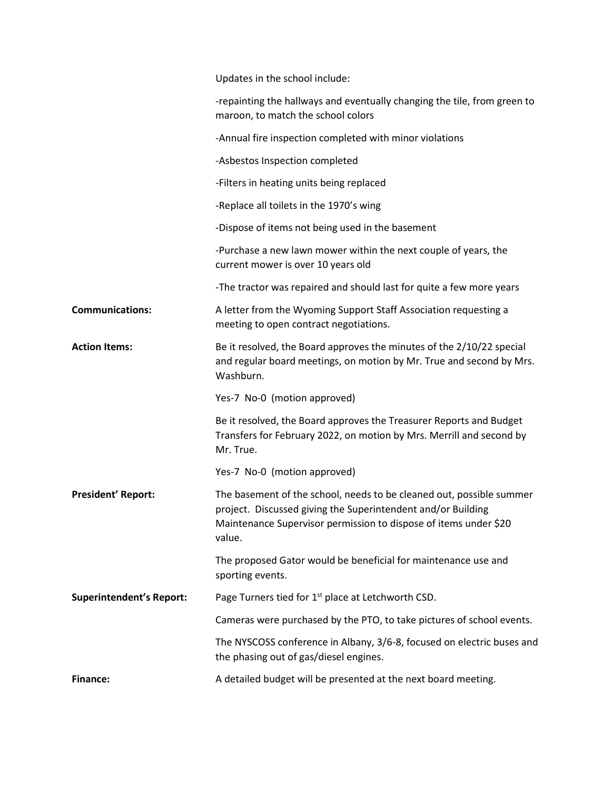|                                 | Updates in the school include:                                                                                                                                                                                     |
|---------------------------------|--------------------------------------------------------------------------------------------------------------------------------------------------------------------------------------------------------------------|
|                                 | -repainting the hallways and eventually changing the tile, from green to<br>maroon, to match the school colors                                                                                                     |
|                                 | -Annual fire inspection completed with minor violations                                                                                                                                                            |
|                                 | -Asbestos Inspection completed                                                                                                                                                                                     |
|                                 | -Filters in heating units being replaced                                                                                                                                                                           |
|                                 | -Replace all toilets in the 1970's wing                                                                                                                                                                            |
|                                 | -Dispose of items not being used in the basement                                                                                                                                                                   |
|                                 | -Purchase a new lawn mower within the next couple of years, the<br>current mower is over 10 years old                                                                                                              |
|                                 | -The tractor was repaired and should last for quite a few more years                                                                                                                                               |
| <b>Communications:</b>          | A letter from the Wyoming Support Staff Association requesting a<br>meeting to open contract negotiations.                                                                                                         |
| <b>Action Items:</b>            | Be it resolved, the Board approves the minutes of the 2/10/22 special<br>and regular board meetings, on motion by Mr. True and second by Mrs.<br>Washburn.                                                         |
|                                 | Yes-7 No-0 (motion approved)                                                                                                                                                                                       |
|                                 | Be it resolved, the Board approves the Treasurer Reports and Budget<br>Transfers for February 2022, on motion by Mrs. Merrill and second by<br>Mr. True.                                                           |
|                                 | Yes-7 No-0 (motion approved)                                                                                                                                                                                       |
| <b>President' Report:</b>       | The basement of the school, needs to be cleaned out, possible summer<br>project. Discussed giving the Superintendent and/or Building<br>Maintenance Supervisor permission to dispose of items under \$20<br>value. |
|                                 | The proposed Gator would be beneficial for maintenance use and<br>sporting events.                                                                                                                                 |
| <b>Superintendent's Report:</b> | Page Turners tied for 1 <sup>st</sup> place at Letchworth CSD.                                                                                                                                                     |
|                                 | Cameras were purchased by the PTO, to take pictures of school events.                                                                                                                                              |
|                                 | The NYSCOSS conference in Albany, 3/6-8, focused on electric buses and<br>the phasing out of gas/diesel engines.                                                                                                   |
| <b>Finance:</b>                 | A detailed budget will be presented at the next board meeting.                                                                                                                                                     |
|                                 |                                                                                                                                                                                                                    |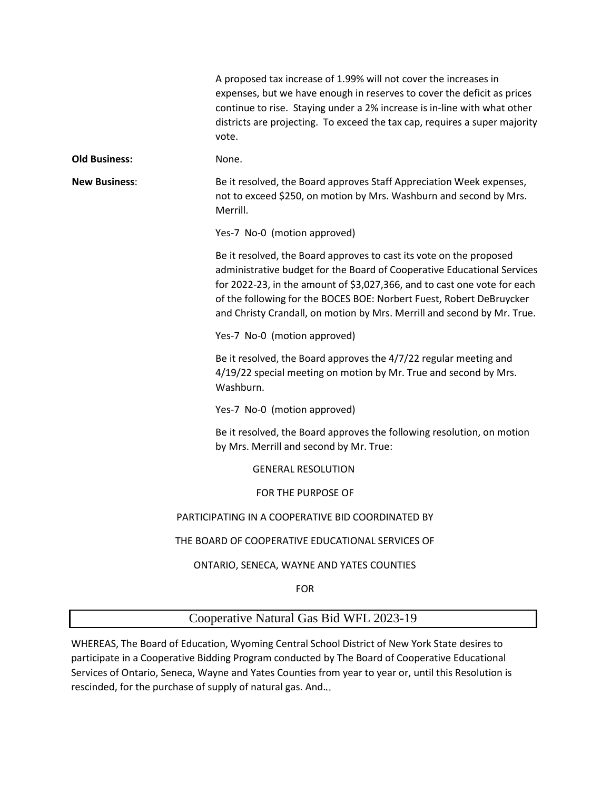|                      | A proposed tax increase of 1.99% will not cover the increases in<br>expenses, but we have enough in reserves to cover the deficit as prices<br>continue to rise. Staying under a 2% increase is in-line with what other<br>districts are projecting. To exceed the tax cap, requires a super majority<br>vote.                                                                |
|----------------------|-------------------------------------------------------------------------------------------------------------------------------------------------------------------------------------------------------------------------------------------------------------------------------------------------------------------------------------------------------------------------------|
| <b>Old Business:</b> | None.                                                                                                                                                                                                                                                                                                                                                                         |
| <b>New Business:</b> | Be it resolved, the Board approves Staff Appreciation Week expenses,<br>not to exceed \$250, on motion by Mrs. Washburn and second by Mrs.<br>Merrill.                                                                                                                                                                                                                        |
|                      | Yes-7 No-0 (motion approved)                                                                                                                                                                                                                                                                                                                                                  |
|                      | Be it resolved, the Board approves to cast its vote on the proposed<br>administrative budget for the Board of Cooperative Educational Services<br>for 2022-23, in the amount of \$3,027,366, and to cast one vote for each<br>of the following for the BOCES BOE: Norbert Fuest, Robert DeBruycker<br>and Christy Crandall, on motion by Mrs. Merrill and second by Mr. True. |
|                      | Yes-7 No-0 (motion approved)                                                                                                                                                                                                                                                                                                                                                  |
|                      | Be it resolved, the Board approves the 4/7/22 regular meeting and<br>4/19/22 special meeting on motion by Mr. True and second by Mrs.<br>Washburn.                                                                                                                                                                                                                            |
|                      | Yes-7 No-0 (motion approved)                                                                                                                                                                                                                                                                                                                                                  |
|                      | Be it resolved, the Board approves the following resolution, on motion<br>by Mrs. Merrill and second by Mr. True:                                                                                                                                                                                                                                                             |
|                      | <b>GENERAL RESOLUTION</b>                                                                                                                                                                                                                                                                                                                                                     |
|                      | FOR THE PURPOSE OF                                                                                                                                                                                                                                                                                                                                                            |
|                      | PARTICIPATING IN A COOPERATIVE BID COORDINATED BY                                                                                                                                                                                                                                                                                                                             |
|                      | THE BOARD OF COOPERATIVE EDUCATIONAL SERVICES OF                                                                                                                                                                                                                                                                                                                              |
|                      | ONTARIO, SENECA, WAYNE AND YATES COUNTIES                                                                                                                                                                                                                                                                                                                                     |
|                      | <b>FOR</b>                                                                                                                                                                                                                                                                                                                                                                    |

# Cooperative Natural Gas Bid WFL 2023-19

WHEREAS, The Board of Education, Wyoming Central School District of New York State desires to participate in a Cooperative Bidding Program conducted by The Board of Cooperative Educational Services of Ontario, Seneca, Wayne and Yates Counties from year to year or, until this Resolution is rescinded, for the purchase of supply of natural gas. And.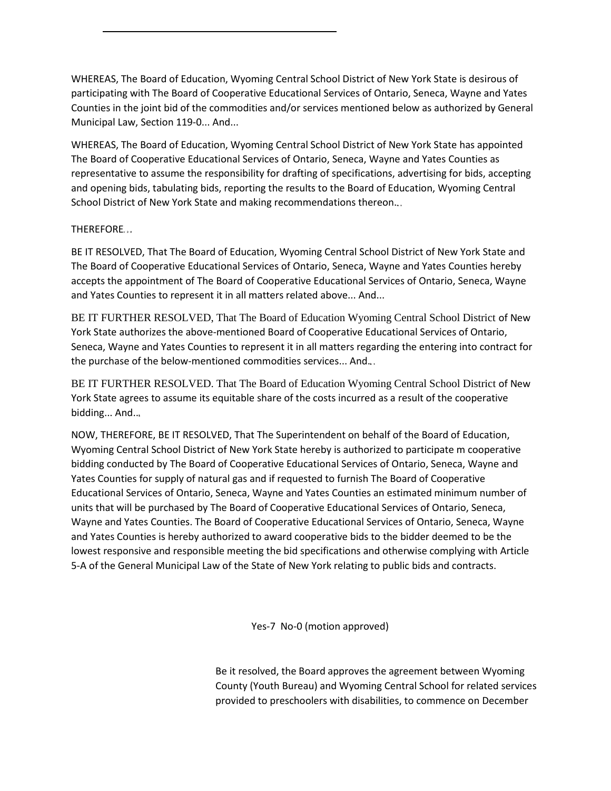WHEREAS, The Board of Education, Wyoming Central School District of New York State is desirous of participating with The Board of Cooperative Educational Services of Ontario, Seneca, Wayne and Yates Counties in the joint bid of the commodities and/or services mentioned below as authorized by General Municipal Law, Section 119-0... And...

WHEREAS, The Board of Education, Wyoming Central School District of New York State has appointed The Board of Cooperative Educational Services of Ontario, Seneca, Wayne and Yates Counties as representative to assume the responsibility for drafting of specifications, advertising for bids, accepting and opening bids, tabulating bids, reporting the results to the Board of Education, Wyoming Central School District of New York State and making recommendations thereon...

#### THEREFORE

BE IT RESOLVED, That The Board of Education, Wyoming Central School District of New York State and The Board of Cooperative Educational Services of Ontario, Seneca, Wayne and Yates Counties hereby accepts the appointment of The Board of Cooperative Educational Services of Ontario, Seneca, Wayne and Yates Counties to represent it in all matters related above... And...

BE IT FURTHER RESOLVED, That The Board of Education Wyoming Central School District of New York State authorizes the above-mentioned Board of Cooperative Educational Services of Ontario, Seneca, Wayne and Yates Counties to represent it in all matters regarding the entering into contract for the purchase of the below-mentioned commodities services... And.

BE IT FURTHER RESOLVED. That The Board of Education Wyoming Central School District of New York State agrees to assume its equitable share of the costs incurred as a result of the cooperative bidding... And..

NOW, THEREFORE, BE IT RESOLVED, That The Superintendent on behalf of the Board of Education, Wyoming Central School District of New York State hereby is authorized to participate m cooperative bidding conducted by The Board of Cooperative Educational Services of Ontario, Seneca, Wayne and Yates Counties for supply of natural gas and if requested to furnish The Board of Cooperative Educational Services of Ontario, Seneca, Wayne and Yates Counties an estimated minimum number of units that will be purchased by The Board of Cooperative Educational Services of Ontario, Seneca, Wayne and Yates Counties. The Board of Cooperative Educational Services of Ontario, Seneca, Wayne and Yates Counties is hereby authorized to award cooperative bids to the bidder deemed to be the lowest responsive and responsible meeting the bid specifications and otherwise complying with Article 5-A of the General Municipal Law of the State of New York relating to public bids and contracts.

Yes-7 No-0 (motion approved)

Be it resolved, the Board approves the agreement between Wyoming County (Youth Bureau) and Wyoming Central School for related services provided to preschoolers with disabilities, to commence on December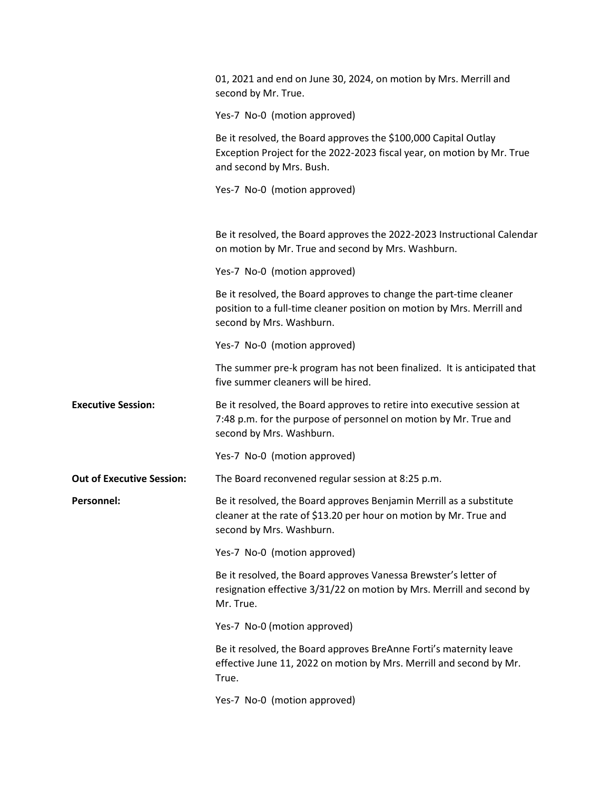|                                  | 01, 2021 and end on June 30, 2024, on motion by Mrs. Merrill and<br>second by Mr. True.                                                                                  |
|----------------------------------|--------------------------------------------------------------------------------------------------------------------------------------------------------------------------|
|                                  | Yes-7 No-0 (motion approved)                                                                                                                                             |
|                                  | Be it resolved, the Board approves the \$100,000 Capital Outlay<br>Exception Project for the 2022-2023 fiscal year, on motion by Mr. True<br>and second by Mrs. Bush.    |
|                                  | Yes-7 No-0 (motion approved)                                                                                                                                             |
|                                  |                                                                                                                                                                          |
|                                  | Be it resolved, the Board approves the 2022-2023 Instructional Calendar<br>on motion by Mr. True and second by Mrs. Washburn.                                            |
|                                  | Yes-7 No-0 (motion approved)                                                                                                                                             |
|                                  | Be it resolved, the Board approves to change the part-time cleaner<br>position to a full-time cleaner position on motion by Mrs. Merrill and<br>second by Mrs. Washburn. |
|                                  | Yes-7 No-0 (motion approved)                                                                                                                                             |
|                                  | The summer pre-k program has not been finalized. It is anticipated that<br>five summer cleaners will be hired.                                                           |
| <b>Executive Session:</b>        | Be it resolved, the Board approves to retire into executive session at<br>7:48 p.m. for the purpose of personnel on motion by Mr. True and<br>second by Mrs. Washburn.   |
|                                  | Yes-7 No-0 (motion approved)                                                                                                                                             |
| <b>Out of Executive Session:</b> | The Board reconvened regular session at 8:25 p.m.                                                                                                                        |
| <b>Personnel:</b>                | Be it resolved, the Board approves Benjamin Merrill as a substitute<br>cleaner at the rate of \$13.20 per hour on motion by Mr. True and<br>second by Mrs. Washburn.     |
|                                  | Yes-7 No-0 (motion approved)                                                                                                                                             |
|                                  | Be it resolved, the Board approves Vanessa Brewster's letter of<br>resignation effective 3/31/22 on motion by Mrs. Merrill and second by<br>Mr. True.                    |
|                                  | Yes-7 No-0 (motion approved)                                                                                                                                             |
|                                  | Be it resolved, the Board approves BreAnne Forti's maternity leave<br>effective June 11, 2022 on motion by Mrs. Merrill and second by Mr.<br>True.                       |
|                                  | Yes-7 No-0 (motion approved)                                                                                                                                             |